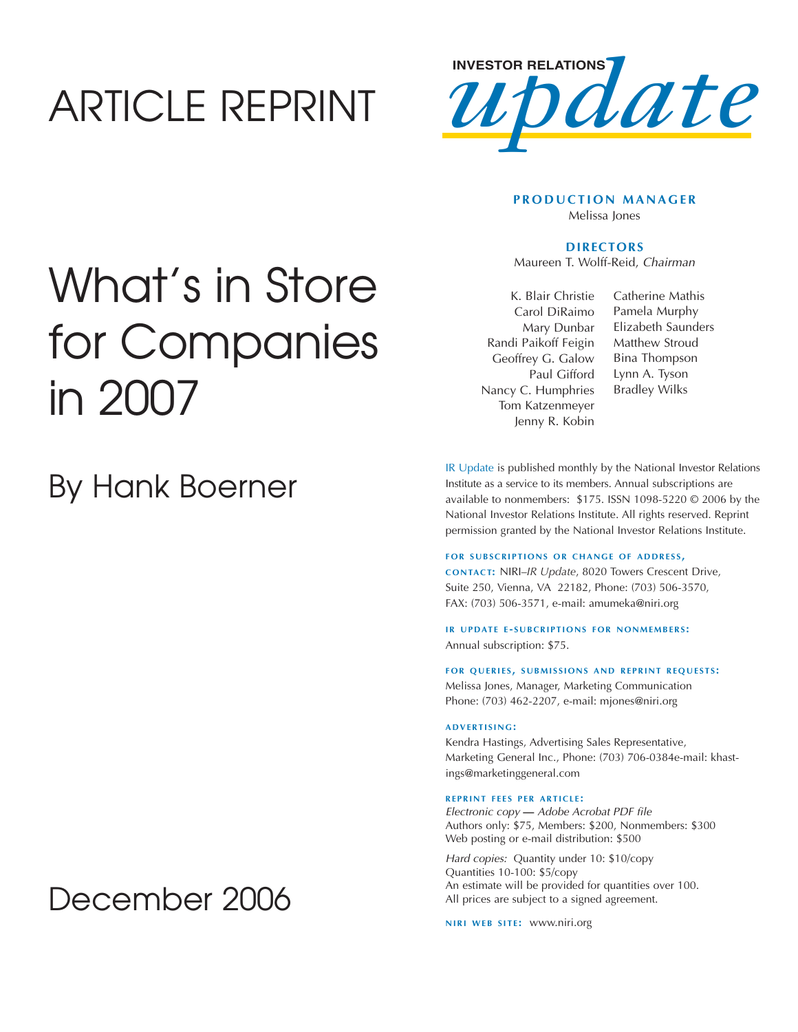## ARTICLE REPRINT



### **PRODUCTION MANAGER** Melissa Jones

### **DIRECTORS**

Maureen T. Wolff-Reid, Chairman

K. Blair Christie Carol DiRaimo Mary Dunbar Randi Paikoff Feigin Geoffrey G. Galow Paul Gifford Nancy C. Humphries Tom Katzenmeyer Jenny R. Kobin

Catherine Mathis Pamela Murphy Elizabeth Saunders Matthew Stroud Bina Thompson Lynn A. Tyson Bradley Wilks

IR Update is published monthly by the National Investor Relations Institute as a service to its members. Annual subscriptions are available to nonmembers: \$175. ISSN 1098-5220 © 2006 by the National Investor Relations Institute. All rights reserved. Reprint permission granted by the National Investor Relations Institute.

#### **FOR SUBSCRIPTIONS OR CHANGE OF ADDRESS.**

**CONTACT:** NIRI–*IR Update*, 8020 Towers Crescent Drive, Suite 250, Vienna, VA 22182, Phone: (703) 506-3570, FAX: (703) 506-3571, e-mail: amumeka@niri.org

**IR UPDATE E-SUBCRIPTIONS FOR NONMEMBERS:** Annual subscription: \$75.

**FOR QUERIES, SUBMISSIONS AND REPRINT REQUESTS:** Melissa Jones, Manager, Marketing Communication

Phone: (703) 462-2207, e-mail: mjones@niri.org

### **ADVERTISING:**

Kendra Hastings, Advertising Sales Representative, Marketing General Inc., Phone: (703) 706-0384e-mail: khastings@marketinggeneral.com

#### **REPRINT FEES PER ARTICLE :**

Electronic copy **—** Adobe Acrobat PDF file Authors only: \$75, Members: \$200, Nonmembers: \$300 Web posting or e-mail distribution: \$500

Hard copies: Quantity under 10: \$10/copy Quantities 10-100: \$5/copy An estimate will be provided for quantities over 100. All prices are subject to a signed agreement.

**NIRI WEB SITE: WWW.niri.org** 

## What's in Store for Companies in 2007

## By Hank Boerner

## December 2006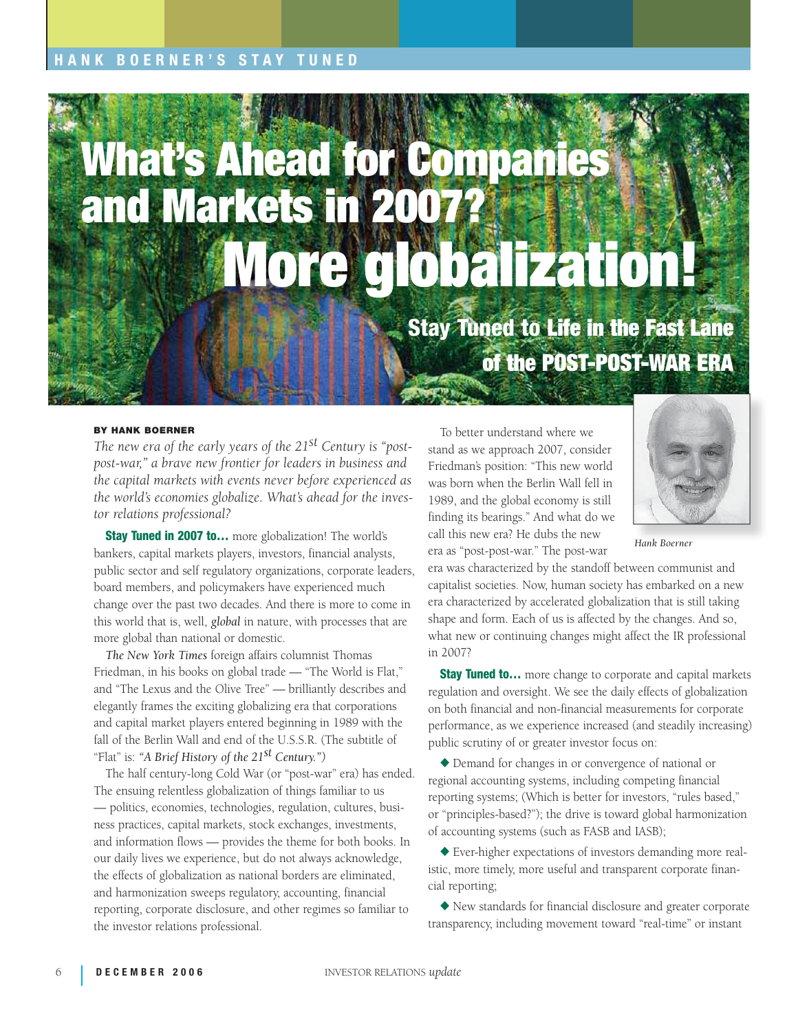## **COLLABORATIVE IR HANK BOERNER'S STAY TUNED**

# **What's Ahead for Companies and Markets in 2007? More globalization!**

**Stay Tuned to Life in the Fast Lane of the POST-POST-WAR ERA**

#### **BY HANK BOERNER**

*The new era of the early years of the 21st Century is "postpost-war," a brave new frontier for leaders in business and the capital markets with events never before experienced as the world's economies globalize. What's ahead for the investor relations professional?*

**Stay Tuned in 2007 to…** more globalization! The world's bankers, capital markets players, investors, financial analysts, public sector and self regulatory organizations, corporate leaders, board members, and policymakers have experienced much change over the past two decades. And there is more to come in this world that is, well, *global* in nature, with processes that are more global than national or domestic.

*The New York Times* foreign affairs columnist Thomas Friedman, in his books on global trade — "The World is Flat," and "The Lexus and the Olive Tree" — brilliantly describes and elegantly frames the exciting globalizing era that corporations and capital market players entered beginning in 1989 with the fall of the Berlin Wall and end of the U.S.S.R. (The subtitle of "Flat" is: *"A Brief History of the 21st Century.")*

The half century-long Cold War (or "post-war" era) has ended. The ensuing relentless globalization of things familiar to us — politics, economies, technologies, regulation, cultures, business practices, capital markets, stock exchanges, investments, and information flows — provides the theme for both books. In our daily lives we experience, but do not always acknowledge, the effects of globalization as national borders are eliminated, and harmonization sweeps regulatory, accounting, financial reporting, corporate disclosure, and other regimes so familiar to the investor relations professional.

To better understand where we stand as we approach 2007, consider Friedman's position: "This new world was born when the Berlin Wall fell in 1989, and the global economy is still finding its bearings." And what do we call this new era? He dubs the new era as "post-post-war." The post-war



*Hank Boerner*

era was characterized by the standoff between communist and capitalist societies. Now, human society has embarked on a new era characterized by accelerated globalization that is still taking shape and form. Each of us is affected by the changes. And so, what new or continuing changes might affect the IR professional in 2007?

**Stay Tuned to...** more change to corporate and capital markets regulation and oversight. We see the daily effects of globalization on both financial and non-financial measurements for corporate performance, as we experience increased (and steadily increasing) public scrutiny of or greater investor focus on:

◆ Demand for changes in or convergence of national or regional accounting systems, including competing financial reporting systems; (Which is better for investors, "rules based," or "principles-based?"); the drive is toward global harmonization of accounting systems (such as FASB and IASB);

◆ Ever-higher expectations of investors demanding more realistic, more timely, more useful and transparent corporate financial reporting;

◆ New standards for financial disclosure and greater corporate transparency, including movement toward "real-time" or instant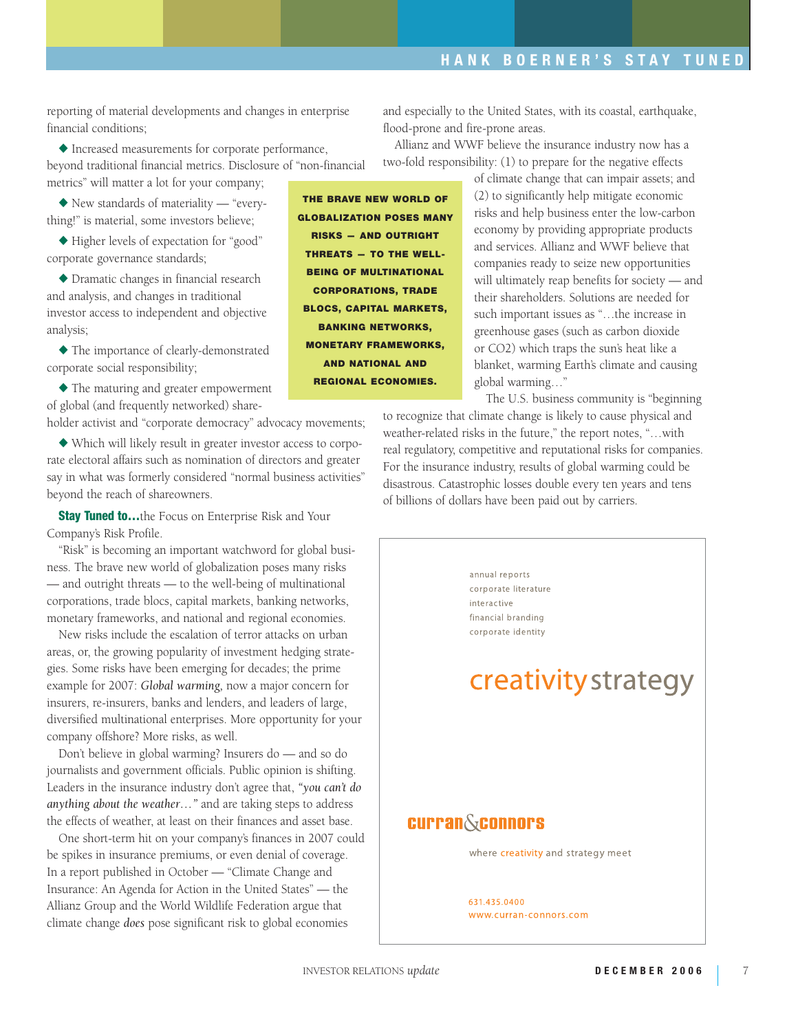reporting of material developments and changes in enterprise financial conditions;

◆ Increased measurements for corporate performance, beyond traditional financial metrics. Disclosure of "non-financial metrics" will matter a lot for your company;

◆ New standards of materiality — "everything!" is material, some investors believe;

◆ Higher levels of expectation for "good" corporate governance standards;

◆ Dramatic changes in financial research and analysis, and changes in traditional investor access to independent and objective analysis;

◆ The importance of clearly-demonstrated corporate social responsibility;

◆ The maturing and greater empowerment of global (and frequently networked) share-

holder activist and "corporate democracy" advocacy movements;

◆ Which will likely result in greater investor access to corporate electoral affairs such as nomination of directors and greater say in what was formerly considered "normal business activities" beyond the reach of shareowners.

**Stay Tuned to...**the Focus on Enterprise Risk and Your Company's Risk Profile.

"Risk" is becoming an important watchword for global business. The brave new world of globalization poses many risks — and outright threats — to the well-being of multinational corporations, trade blocs, capital markets, banking networks, monetary frameworks, and national and regional economies.

New risks include the escalation of terror attacks on urban areas, or, the growing popularity of investment hedging strategies. Some risks have been emerging for decades; the prime example for 2007: *Global warming,* now a major concern for insurers, re-insurers, banks and lenders, and leaders of large, diversified multinational enterprises. More opportunity for your company offshore? More risks, as well.

Don't believe in global warming? Insurers do — and so do journalists and government officials. Public opinion is shifting. Leaders in the insurance industry don't agree that, *"you can't do anything about the weather…"* and are taking steps to address the effects of weather, at least on their finances and asset base.

One short-term hit on your company's finances in 2007 could be spikes in insurance premiums, or even denial of coverage. In a report published in October — "Climate Change and Insurance: An Agenda for Action in the United States" — the Allianz Group and the World Wildlife Federation argue that climate change *does* pose significant risk to global economies

**THE BRAVE NEW WORLD OF GLOBALIZATION POSES MANY RISKS — AND OUTRIGHT THREATS — TO THE WELL-BEING OF MULTINATIONAL CORPORATIONS, TRADE BLOCS, CAPITAL MARKETS, BANKING NETWORKS, MONETARY FRAMEWORKS, AND NATIONAL AND REGIONAL ECONOMIES.** 

and especially to the United States, with its coastal, earthquake, flood-prone and fire-prone areas.

Allianz and WWF believe the insurance industry now has a two-fold responsibility: (1) to prepare for the negative effects

> of climate change that can impair assets; and (2) to significantly help mitigate economic risks and help business enter the low-carbon economy by providing appropriate products and services. Allianz and WWF believe that companies ready to seize new opportunities will ultimately reap benefits for society — and their shareholders. Solutions are needed for such important issues as "…the increase in greenhouse gases (such as carbon dioxide or CO2) which traps the sun's heat like a blanket, warming Earth's climate and causing global warming…"

The U.S. business community is "beginning to recognize that climate change is likely to cause physical and weather-related risks in the future," the report notes, "…with real regulatory, competitive and reputational risks for companies. For the insurance industry, results of global warming could be disastrous. Catastrophic losses double every ten years and tens of billions of dollars have been paid out by carriers.

> annual reports corporate literature interactive financial branding corporate identity

## creativity strategy

## **Curran&connors**

where creativity and strategy meet

631.435.0400 www.curran-connors.com